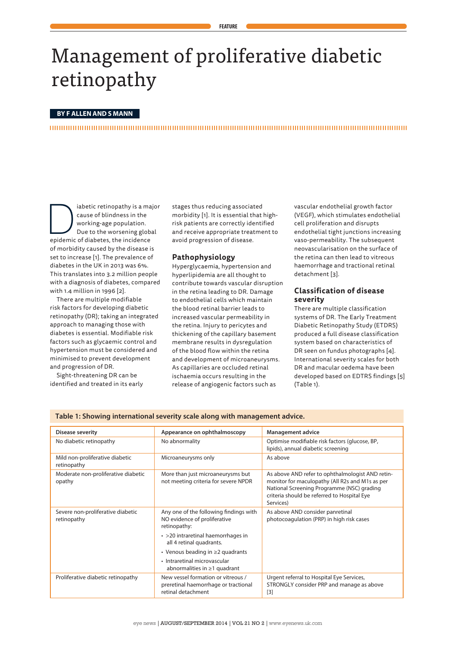# Management of proliferative diabetic retinopathy

## **BY F ALLEN AND S MANN**

abetic retinopathy is a major<br>
cause of blindness in the<br>
working-age population.<br>
Due to the worsening global<br>
epidemic of diabetes, the incidence cause of blindness in the working-age population. Due to the worsening global of morbidity caused by the disease is set to increase [1]. The prevalence of diabetes in the UK in 2013 was 6%. This translates into 3.2 million people with a diagnosis of diabetes, compared with 1.4 million in 1996 [2].

There are multiple modifiable risk factors for developing diabetic retinopathy (DR); taking an integrated approach to managing those with diabetes is essential. Modifiable risk factors such as glycaemic control and hypertension must be considered and minimised to prevent development and progression of DR.

Sight-threatening DR can be identified and treated in its early stages thus reducing associated morbidity [1]. It is essential that highrisk patients are correctly identified and receive appropriate treatment to avoid progression of disease.

## **Pathophysiology**

Hyperglycaemia, hypertension and hyperlipidemia are all thought to contribute towards vascular disruption in the retina leading to DR. Damage to endothelial cells which maintain the blood retinal barrier leads to increased vascular permeability in the retina. Injury to pericytes and thickening of the capillary basement membrane results in dysregulation of the blood flow within the retina and development of microaneurysms. As capillaries are occluded retinal ischaemia occurs resulting in the release of angiogenic factors such as

vascular endothelial growth factor (VEGF), which stimulates endothelial cell proliferation and disrupts endothelial tight junctions increasing vaso-permeability. The subsequent neovascularisation on the surface of the retina can then lead to vitreous haemorrhage and tractional retinal detachment [3].

# **Classification of disease severity**

There are multiple classification systems of DR. The Early Treatment Diabetic Retinopathy Study (ETDRS) produced a full disease classification system based on characteristics of DR seen on fundus photographs [4]. International severity scales for both DR and macular oedema have been developed based on EDTRS findings [5] (Table 1).

| <b>Disease severity</b>                          | Appearance on ophthalmoscopy                                                                     | <b>Management advice</b>                                                                                                                                                                                      |  |
|--------------------------------------------------|--------------------------------------------------------------------------------------------------|---------------------------------------------------------------------------------------------------------------------------------------------------------------------------------------------------------------|--|
| No diabetic retinopathy                          | No abnormality                                                                                   | Optimise modifiable risk factors (glucose, BP,<br>lipids), annual diabetic screening                                                                                                                          |  |
| Mild non-proliferative diabetic<br>retinopathy   | Microaneurysms only                                                                              | As above                                                                                                                                                                                                      |  |
| Moderate non-proliferative diabetic<br>opathy    | More than just microaneurysms but<br>not meeting criteria for severe NPDR                        | As above AND refer to ophthalmologist AND retin-<br>monitor for maculopathy (All R2s and M1s as per<br>National Screening Programme (NSC) grading<br>criteria should be referred to Hospital Eye<br>Services) |  |
| Severe non-proliferative diabetic<br>retinopathy | Any one of the following findings with<br>NO evidence of proliferative<br>retinopathy:           | As above AND consider panretinal<br>photocoagulation (PRP) in high risk cases                                                                                                                                 |  |
|                                                  | $\cdot$ >20 intraretinal haemorrhages in<br>all 4 retinal quadrants.                             |                                                                                                                                                                                                               |  |
|                                                  | • Venous beading in $\geq 2$ quadrants                                                           |                                                                                                                                                                                                               |  |
|                                                  | • Intraretinal microvascular<br>abnormalities in $\geq 1$ quadrant                               |                                                                                                                                                                                                               |  |
| Proliferative diabetic retinopathy               | New vessel formation or vitreous /<br>preretinal haemorrhage or tractional<br>retinal detachment | Urgent referral to Hospital Eye Services,<br>STRONGLY consider PRP and manage as above<br>$\lceil 3 \rceil$                                                                                                   |  |

#### **Table 1: Showing international severity scale along with management advice.**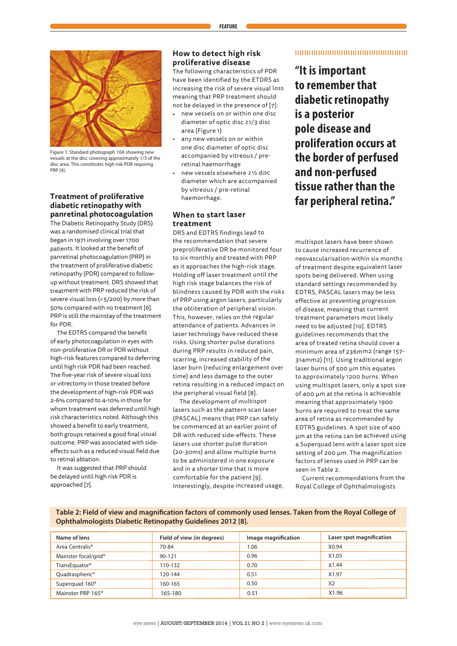

Figure 1: Standard photograph 10A showing new vessels at the disc covering approximately 1/3 of the disc area. This constitutes high risk PDR requiring PRP [4].

# **Treatment of proliferative diabetic retinopathy with panretinal photocoagulation**

The Diabetic Retinopathy Study (DRS) was a randomised clinical trial that began in 1971 involving over 1700 patients. It looked at the benefit of panretinal photocoagulation (PRP) in the treatment of proliferative diabetic retinopathy (PDR) compared to followup without treatment. DRS showed that treatment with PRP reduced the risk of severe visual loss (<5/200) by more than 50% compared with no treatment [6]. PRP is still the mainstay of the treatment for PDR.

The EDTRS compared the benefit of early photocoagulation in eyes with non-proliferative DR or PDR without high-risk features compared to deferring until high risk PDR had been reached. The five-year risk of severe visual loss or vitrectomy in those treated before the development of high-risk PDR was 2-6% compared to 4-10% in those for whom treatment was deferred until high risk characteristics noted. Although this showed a benefit to early treatment, both groups retained a good final visual outcome. PRP was associated with sideeffects such as a reduced visual field due to retinal ablation.

It was suggested that PRP should be delayed until high risk PDR is approached [7].

# **How to detect high risk proliferative disease**

The following characteristics of PDR have been identified by the ETDRS as increasing the risk of severe visual loss meaning that PRP treatment should not be delayed in the presence of [7]:

- new vessels on or within one disc diameter of optic disc ≥1/3 disc area (Figure 1)
- • any new vessels on or within one disc diameter of optic disc accompanied by vitreous / preretinal haemorrhage
- new vessels elsewhere ≥½ disc diameter which are accompanied by vitreous / pre-retinal haemorrhage.

# **When to start laser treatment**

DRS and EDTRS findings lead to the recommendation that severe preproliferative DR be monitored four to six monthly and treated with PRP as it approaches the high-risk stage. Holding off laser treatment until the high risk stage balances the risk of blindness caused by PDR with the risks of PRP using argon lasers, particularly the obliteration of peripheral vision. This, however, relies on the regular attendance of patients. Advances in laser technology have reduced these risks. Using shorter pulse durations during PRP results in reduced pain, scarring, increased stability of the laser burn (reducing enlargement over time) and less damage to the outer retina resulting in a reduced impact on the peripheral visual field [8].

The development of multispot lasers such as the pattern scan laser (PASCAL) means that PRP can safely be commenced at an earlier point of DR with reduced side-effects. These lasers use shorter pulse duration (20-30ms) and allow multiple burns to be administered in one exposure and in a shorter time that is more comfortable for the patient [9]. Interestingly, despite increased usage,

## 

**"It is important to remember that diabetic retinopathy is a posterior pole disease and proliferation occurs at the border of perfused and non-perfused tissue rather than the far peripheral retina."**

multispot lasers have been shown to cause increased recurrence of neovascularisation within six months of treatment despite equivalent laser spots being delivered. When using standard settings recommended by EDTRS, PASCAL lasers may be less effective at preventing progression of disease, meaning that current treatment parameters most likely need to be adjusted [10]. EDTRS guidelines recommends that the area of treated retina should cover a minimum area of 236mm2 (range 157- 314mm2) [11]. Using traditional argon laser burns of 500 µm this equates to approximately 1200 burns. When using multispot lasers, only a spot size of 400 µm at the retina is achievable meaning that approximately 1900 burns are required to treat the same area of retina as recommended by EDTRS guidelines. A spot size of 400 µm at the retina can be achieved using a Superquad lens with a laser spot size setting of 200 µm. The magnification factors of lenses used in PRP can be seen in Table 2.

Current recommendations from the Royal College of Ophthalmologists

**Table 2: Field of view and magnification factors of commonly used lenses. Taken from the Royal College of Ophthalmologists Diabetic Retinopathy Guidelines 2012 [8].**

| Name of lens                     | Field of view (in degrees) | Image magnification | Laser spot magnification |
|----------------------------------|----------------------------|---------------------|--------------------------|
| Area Centralis <sup>®</sup>      | 70-84                      | 1.06                | X0.94                    |
| Mainster focal/grid <sup>®</sup> | 90-121                     | 0.96                | X1.05                    |
| TransEquator <sup>®</sup>        | 110-132                    | 0.70                | X1.44                    |
| Quadraspheric <sup>®</sup>       | 120-144                    | 0.51                | X <sub>1.97</sub>        |
| Superquad 160 <sup>®</sup>       | 160-165                    | 0.50                | X <sub>2</sub>           |
| Mainster PRP 165 <sup>®</sup>    | 165-180                    | 0.51                | X1.96                    |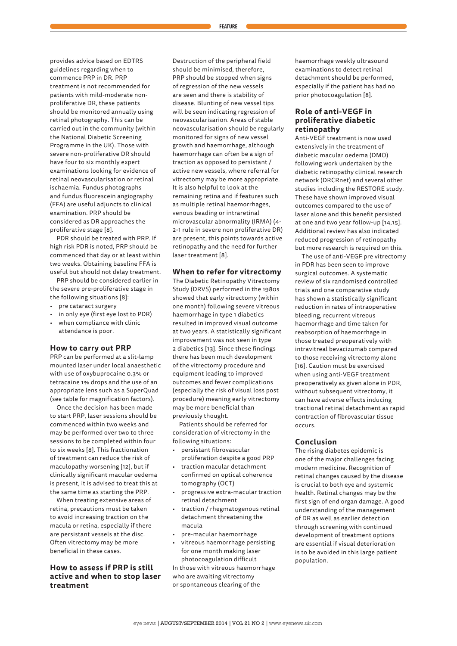provides advice based on EDTRS guidelines regarding when to commence PRP in DR. PRP treatment is not recommended for patients with mild-moderate nonproliferative DR, these patients should be monitored annually using retinal photography. This can be carried out in the community (within the National Diabetic Screening Programme in the UK). Those with severe non-proliferative DR should have four to six monthly expert examinations looking for evidence of retinal neovascularisation or retinal ischaemia. Fundus photographs and fundus fluorescein angiography (FFA) are useful adjuncts to clinical examination. PRP should be considered as DR approaches the proliferative stage [8].

PDR should be treated with PRP. If high risk PDR is noted, PRP should be commenced that day or at least within two weeks. Obtaining baseline FFA is useful but should not delay treatment.

PRP should be considered earlier in the severe pre-proliferative stage in the following situations [8]:

- pre cataract surgery
- in only eye (first eye lost to PDR)
- when compliance with clinic attendance is poor.

#### **How to carry out PRP**

PRP can be performed at a slit-lamp mounted laser under local anaesthetic with use of oxybuprocaine 0.3% or tetracaine 1% drops and the use of an appropriate lens such as a SuperQuad (see table for magnification factors).

Once the decision has been made to start PRP, laser sessions should be commenced within two weeks and may be performed over two to three sessions to be completed within four to six weeks [8]. This fractionation of treatment can reduce the risk of maculopathy worsening [12], but if clinically significant macular oedema is present, it is advised to treat this at the same time as starting the PRP.

When treating extensive areas of retina, precautions must be taken to avoid increasing traction on the macula or retina, especially if there are persistant vessels at the disc. Often vitrectomy may be more beneficial in these cases.

# **How to assess if PRP is still active and when to stop laser treatment**

Destruction of the peripheral field should be minimised, therefore, PRP should be stopped when signs of regression of the new vessels are seen and there is stability of disease. Blunting of new vessel tips will be seen indicating regression of neovascularisarion. Areas of stable neovascularisation should be regularly monitored for signs of new vessel growth and haemorrhage, although haemorrhage can often be a sign of traction as opposed to persistant / active new vessels, where referral for vitrectomy may be more appropriate. It is also helpful to look at the remaining retina and if features such as multiple retinal haemorrhages, venous beading or intraretinal microvascular abnormality (IRMA) (4- 2-1 rule in severe non proliferative DR) are present, this points towards active retinopathy and the need for further laser treatment [8].

## **When to refer for vitrectomy**

The Diabetic Retinopathy Vitrectomy Study (DRVS) performed in the 1980s showed that early vitrectomy (within one month) following severe vitreous haemorrhage in type 1 diabetics resulted in improved visual outcome at two years. A statistically significant improvement was not seen in type 2 diabetics [13]. Since these findings there has been much development of the vitrectomy procedure and equipment leading to improved outcomes and fewer complications (especially the risk of visual loss post procedure) meaning early vitrectomy may be more beneficial than previously thought.

Patients should be referred for consideration of vitrectomy in the following situations:

- persistant fibrovascular proliferation despite a good PRP
- traction macular detachment confirmed on optical coherence tomography (OCT)
- progressive extra-macular traction retinal detachment
- traction / rhegmatogenous retinal detachment threatening the macula
- pre-macular haemorrhage
- vitreous haemorrhage persisting for one month making laser photocoagulation difficult

In those with vitreous haemorrhage who are awaiting vitrectomy or spontaneous clearing of the

haemorrhage weekly ultrasound examinations to detect retinal detachment should be performed, especially if the patient has had no prior photocoagulation [8].

## **Role of anti-VEGF in proliferative diabetic retinopathy**

Anti-VEGF treatment is now used extensively in the treatment of diabetic macular oedema (DMO) following work undertaken by the diabetic retinopathy clinical research network (DRCRnet) and several other studies including the RESTORE study. These have shown improved visual outcomes compared to the use of laser alone and this benefit persisted at one and two year follow-up [14,15]. Additional review has also indicated reduced progression of retinopathy but more research is required on this.

The use of anti-VEGF pre vitrectomy in PDR has been seen to improve surgical outcomes. A systematic review of six randomised controlled trials and one comparative study has shown a statistically significant reduction in rates of intraoperative bleeding, recurrent vitreous haemorrhage and time taken for reabsorption of haemorrhage in those treated preoperatively with intravitreal bevacizumab compared to those receiving vitrectomy alone [16]. Caution must be exercised when using anti-VEGF treatment preoperatively as given alone in PDR, without subsequent vitrectomy, it can have adverse effects inducing tractional retinal detachment as rapid contraction of fibrovascular tissue occurs.

## **Conclusion**

The rising diabetes epidemic is one of the major challenges facing modern medicine. Recognition of retinal changes caused by the disease is crucial to both eye and systemic health. Retinal changes may be the first sign of end organ damage. A good understanding of the management of DR as well as earlier detection through screening with continued development of treatment options are essential if visual deterioration is to be avoided in this large patient population.